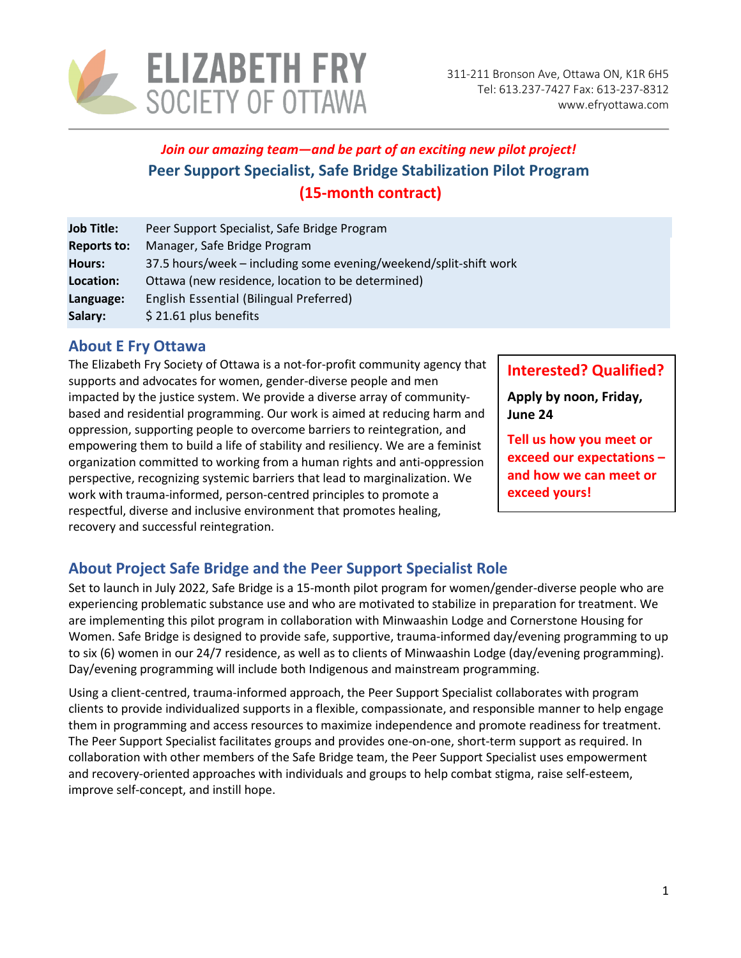

# *Join our amazing team—and be part of an exciting new pilot project!* **Peer Support Specialist, Safe Bridge Stabilization Pilot Program (15-month contract)**

| <b>Job Title:</b>  | Peer Support Specialist, Safe Bridge Program                      |
|--------------------|-------------------------------------------------------------------|
| <b>Reports to:</b> | Manager, Safe Bridge Program                                      |
| <b>Hours:</b>      | 37.5 hours/week – including some evening/weekend/split-shift work |
| Location:          | Ottawa (new residence, location to be determined)                 |
| Language:          | English Essential (Bilingual Preferred)                           |
| Salary:            | \$21.61 plus benefits                                             |

### **About E Fry Ottawa**

The Elizabeth Fry Society of Ottawa is a not-for-profit community agency that supports and advocates for women, gender-diverse people and men impacted by the justice system. We provide a diverse array of communitybased and residential programming. Our work is aimed at reducing harm and oppression, supporting people to overcome barriers to reintegration, and empowering them to build a life of stability and resiliency. We are a feminist organization committed to working from a human rights and anti-oppression perspective, recognizing systemic barriers that lead to marginalization. We work with trauma-informed, person-centred principles to promote a respectful, diverse and inclusive environment that promotes healing, recovery and successful reintegration.

### **Interested? Qualified?**

**Apply by noon, Friday, June 24**

**Tell us how you meet or exceed our expectations – and how we can meet or exceed yours!** 

# **About Project Safe Bridge and the Peer Support Specialist Role**

Set to launch in July 2022, Safe Bridge is a 15-month pilot program for women/gender-diverse people who are experiencing problematic substance use and who are motivated to stabilize in preparation for treatment. We are implementing this pilot program in collaboration with Minwaashin Lodge and Cornerstone Housing for Women. Safe Bridge is designed to provide safe, supportive, trauma-informed day/evening programming to up to six (6) women in our 24/7 residence, as well as to clients of Minwaashin Lodge (day/evening programming). Day/evening programming will include both Indigenous and mainstream programming.

Using a client-centred, trauma-informed approach, the Peer Support Specialist collaborates with program clients to provide individualized supports in a flexible, compassionate, and responsible manner to help engage them in programming and access resources to maximize independence and promote readiness for treatment. The Peer Support Specialist facilitates groups and provides one-on-one, short-term support as required. In collaboration with other members of the Safe Bridge team, the Peer Support Specialist uses empowerment and recovery-oriented approaches with individuals and groups to help combat stigma, raise self-esteem, improve self-concept, and instill hope.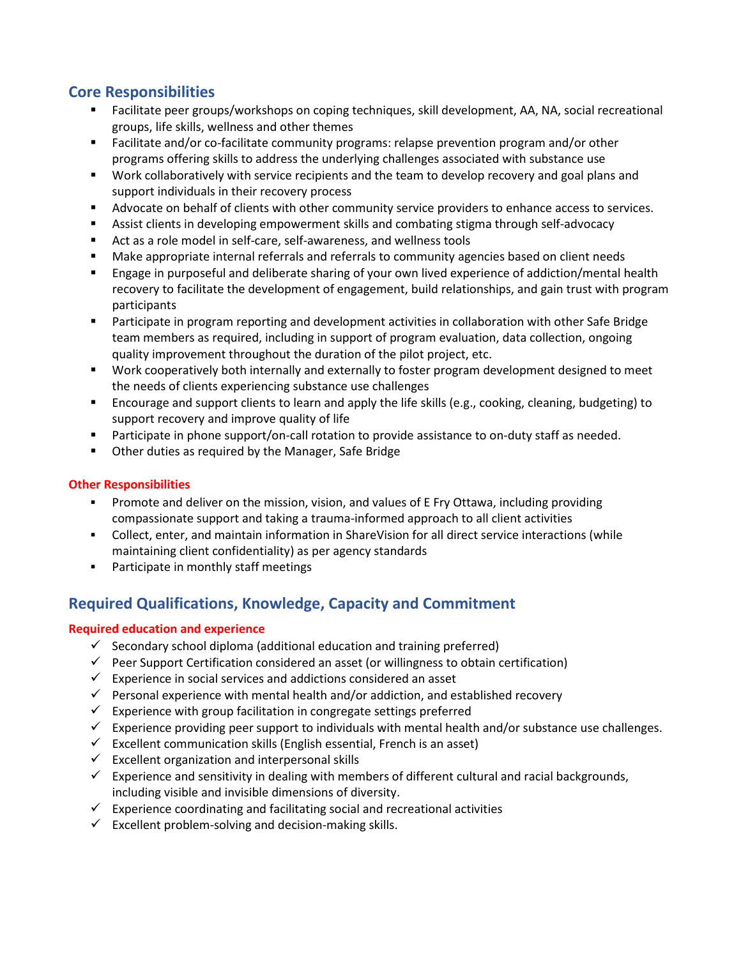### **Core Responsibilities**

- Facilitate peer groups/workshops on coping techniques, skill development, AA, NA, social recreational groups, life skills, wellness and other themes
- Facilitate and/or co-facilitate community programs: relapse prevention program and/or other programs offering skills to address the underlying challenges associated with substance use
- Work collaboratively with service recipients and the team to develop recovery and goal plans and support individuals in their recovery process
- Advocate on behalf of clients with other community service providers to enhance access to services.
- Assist clients in developing empowerment skills and combating stigma through self-advocacy
- Act as a role model in self-care, self-awareness, and wellness tools
- Make appropriate internal referrals and referrals to community agencies based on client needs
- Engage in purposeful and deliberate sharing of your own lived experience of addiction/mental health recovery to facilitate the development of engagement, build relationships, and gain trust with program participants
- Participate in program reporting and development activities in collaboration with other Safe Bridge team members as required, including in support of program evaluation, data collection, ongoing quality improvement throughout the duration of the pilot project, etc.
- Work cooperatively both internally and externally to foster program development designed to meet the needs of clients experiencing substance use challenges
- Encourage and support clients to learn and apply the life skills (e.g., cooking, cleaning, budgeting) to support recovery and improve quality of life
- **Participate in phone support/on-call rotation to provide assistance to on-duty staff as needed.**
- **•** Other duties as required by the Manager, Safe Bridge

#### **Other Responsibilities**

- Promote and deliver on the mission, vision, and values of E Fry Ottawa, including providing compassionate support and taking a trauma-informed approach to all client activities
- Collect, enter, and maintain information in ShareVision for all direct service interactions (while maintaining client confidentiality) as per agency standards
- **Participate in monthly staff meetings**

### **Required Qualifications, Knowledge, Capacity and Commitment**

#### **Required education and experience**

- $\checkmark$  Secondary school diploma (additional education and training preferred)
- $\checkmark$  Peer Support Certification considered an asset (or willingness to obtain certification)
- $\checkmark$  Experience in social services and addictions considered an asset
- $\checkmark$  Personal experience with mental health and/or addiction, and established recovery
- $\checkmark$  Experience with group facilitation in congregate settings preferred
- $\checkmark$  Experience providing peer support to individuals with mental health and/or substance use challenges.
- $\checkmark$  Excellent communication skills (English essential, French is an asset)
- $\checkmark$  Excellent organization and interpersonal skills
- $\checkmark$  Experience and sensitivity in dealing with members of different cultural and racial backgrounds, including visible and invisible dimensions of diversity.
- $\checkmark$  Experience coordinating and facilitating social and recreational activities
- $\checkmark$  Excellent problem-solving and decision-making skills.